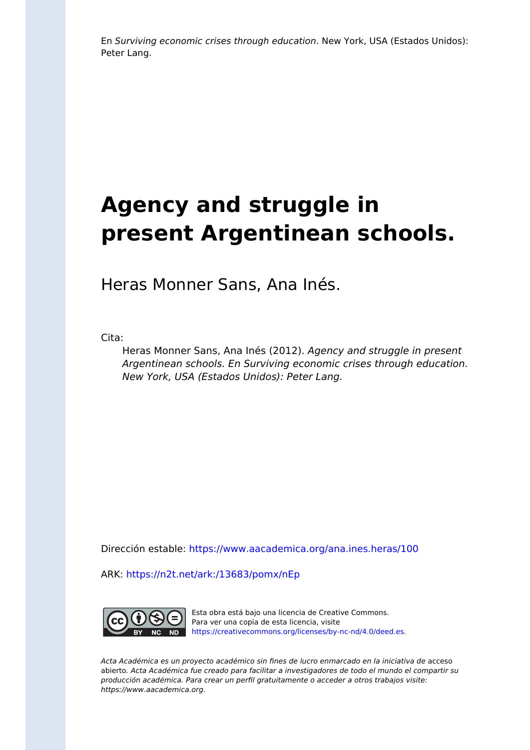En Surviving economic crises through education. New York, USA (Estados Unidos): Peter Lang.

# **Agency and struggle in present Argentinean schools.**

Heras Monner Sans, Ana Inés.

Cita:

Heras Monner Sans, Ana Inés (2012). Agency and struggle in present Argentinean schools. En Surviving economic crises through education. New York, USA (Estados Unidos): Peter Lang.

Dirección estable:<https://www.aacademica.org/ana.ines.heras/100>

ARK: <https://n2t.net/ark:/13683/pomx/nEp>



Esta obra está bajo una licencia de Creative Commons. Para ver una copia de esta licencia, visite [https://creativecommons.org/licenses/by-nc-nd/4.0/deed.es.](https://creativecommons.org/licenses/by-nc-nd/4.0/deed.es)

Acta Académica es un proyecto académico sin fines de lucro enmarcado en la iniciativa de acceso abierto. Acta Académica fue creado para facilitar a investigadores de todo el mundo el compartir su producción académica. Para crear un perfil gratuitamente o acceder a otros trabajos visite: https://www.aacademica.org.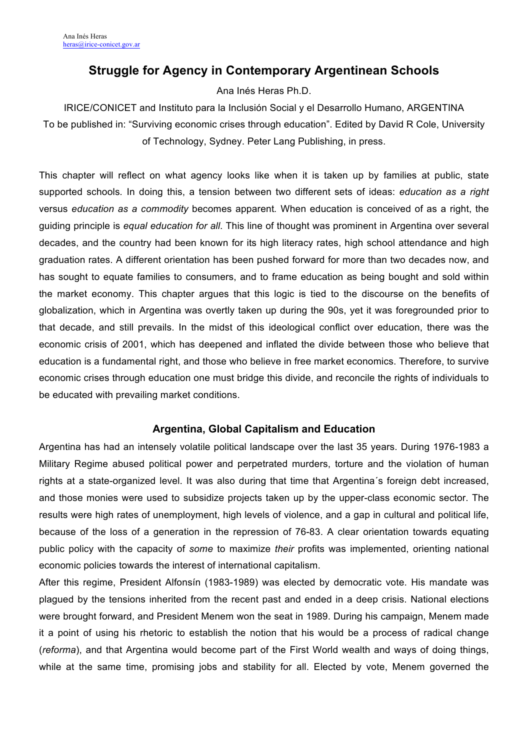## **Struggle for Agency in Contemporary Argentinean Schools**

Ana Inés Heras Ph.D.

IRICE/CONICET and Instituto para la Inclusión Social y el Desarrollo Humano, ARGENTINA To be published in: "Surviving economic crises through education". Edited by David R Cole, University of Technology, Sydney. Peter Lang Publishing, in press.

This chapter will reflect on what agency looks like when it is taken up by families at public, state supported schools*.* In doing this, a tension between two different sets of ideas: *education as a right* versus *education as a commodity* becomes apparent*.* When education is conceived of as a right, the guiding principle is *equal education for all*. This line of thought was prominent in Argentina over several decades, and the country had been known for its high literacy rates, high school attendance and high graduation rates. A different orientation has been pushed forward for more than two decades now, and has sought to equate families to consumers, and to frame education as being bought and sold within the market economy. This chapter argues that this logic is tied to the discourse on the benefits of globalization, which in Argentina was overtly taken up during the 90s, yet it was foregrounded prior to that decade, and still prevails. In the midst of this ideological conflict over education, there was the economic crisis of 2001, which has deepened and inflated the divide between those who believe that education is a fundamental right, and those who believe in free market economics. Therefore, to survive economic crises through education one must bridge this divide, and reconcile the rights of individuals to be educated with prevailing market conditions.

### **Argentina, Global Capitalism and Education**

Argentina has had an intensely volatile political landscape over the last 35 years. During 1976-1983 a Military Regime abused political power and perpetrated murders, torture and the violation of human rights at a state-organized level. It was also during that time that Argentina´s foreign debt increased, and those monies were used to subsidize projects taken up by the upper-class economic sector. The results were high rates of unemployment, high levels of violence, and a gap in cultural and political life, because of the loss of a generation in the repression of 76-83. A clear orientation towards equating public policy with the capacity of *some* to maximize *their* profits was implemented, orienting national economic policies towards the interest of international capitalism.

After this regime, President Alfonsín (1983-1989) was elected by democratic vote. His mandate was plagued by the tensions inherited from the recent past and ended in a deep crisis. National elections were brought forward, and President Menem won the seat in 1989. During his campaign, Menem made it a point of using his rhetoric to establish the notion that his would be a process of radical change (*reforma*), and that Argentina would become part of the First World wealth and ways of doing things, while at the same time, promising jobs and stability for all. Elected by vote, Menem governed the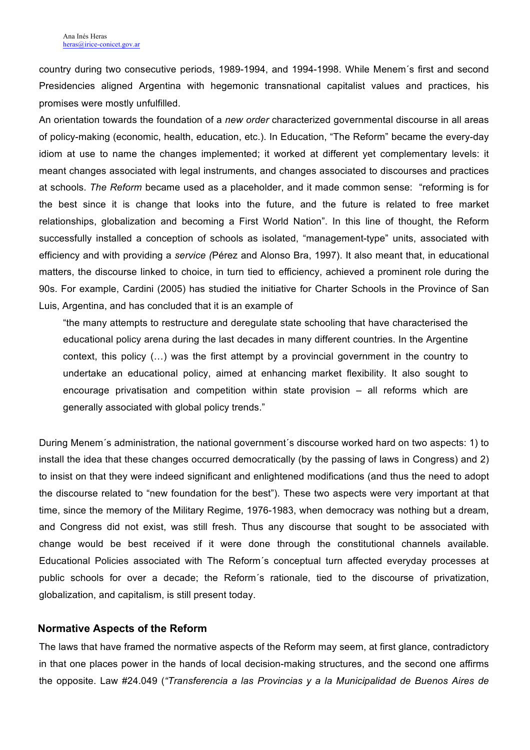country during two consecutive periods, 1989-1994, and 1994-1998. While Menem´s first and second Presidencies aligned Argentina with hegemonic transnational capitalist values and practices, his promises were mostly unfulfilled.

An orientation towards the foundation of a *new order* characterized governmental discourse in all areas of policy-making (economic, health, education, etc.). In Education, "The Reform" became the every-day idiom at use to name the changes implemented; it worked at different yet complementary levels: it meant changes associated with legal instruments, and changes associated to discourses and practices at schools. *The Reform* became used as a placeholder, and it made common sense: "reforming is for the best since it is change that looks into the future, and the future is related to free market relationships, globalization and becoming a First World Nation". In this line of thought, the Reform successfully installed a conception of schools as isolated, "management-type" units, associated with efficiency and with providing a *service (*Pérez and Alonso Bra, 1997). It also meant that, in educational matters, the discourse linked to choice, in turn tied to efficiency, achieved a prominent role during the 90s. For example, Cardini (2005) has studied the initiative for Charter Schools in the Province of San Luis, Argentina, and has concluded that it is an example of

"the many attempts to restructure and deregulate state schooling that have characterised the educational policy arena during the last decades in many different countries. In the Argentine context, this policy (…) was the first attempt by a provincial government in the country to undertake an educational policy, aimed at enhancing market flexibility. It also sought to encourage privatisation and competition within state provision – all reforms which are generally associated with global policy trends."

During Menem´s administration, the national government´s discourse worked hard on two aspects: 1) to install the idea that these changes occurred democratically (by the passing of laws in Congress) and 2) to insist on that they were indeed significant and enlightened modifications (and thus the need to adopt the discourse related to "new foundation for the best"). These two aspects were very important at that time, since the memory of the Military Regime, 1976-1983, when democracy was nothing but a dream, and Congress did not exist, was still fresh. Thus any discourse that sought to be associated with change would be best received if it were done through the constitutional channels available. Educational Policies associated with The Reform´s conceptual turn affected everyday processes at public schools for over a decade; the Reform´s rationale, tied to the discourse of privatization, globalization, and capitalism, is still present today.

#### **Normative Aspects of the Reform**

The laws that have framed the normative aspects of the Reform may seem, at first glance, contradictory in that one places power in the hands of local decision-making structures, and the second one affirms the opposite. Law #24.049 (*"Transferencia a las Provincias y a la Municipalidad de Buenos Aires de*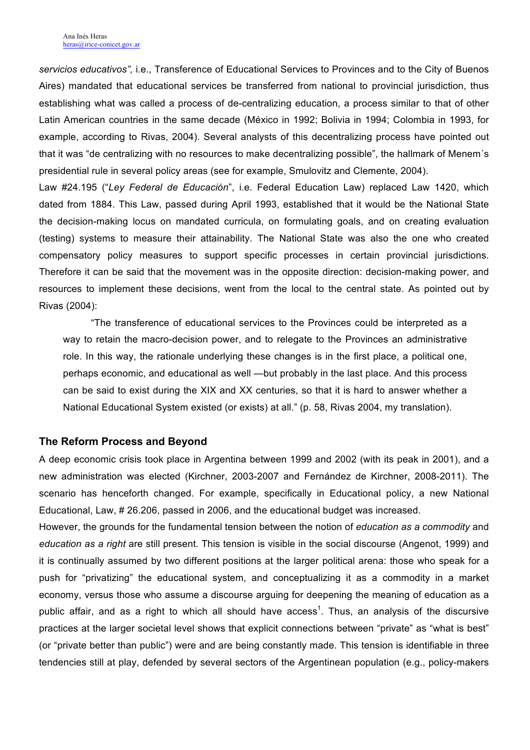*servicios educativos",* i.e., Transference of Educational Services to Provinces and to the City of Buenos Aires) mandated that educational services be transferred from national to provincial jurisdiction, thus establishing what was called a process of de-centralizing education, a process similar to that of other Latin American countries in the same decade (México in 1992; Bolivia in 1994; Colombia in 1993, for example, according to Rivas, 2004). Several analysts of this decentralizing process have pointed out that it was "de centralizing with no resources to make decentralizing possible", the hallmark of Menem´s presidential rule in several policy areas (see for example, Smulovitz and Clemente, 2004).

Law #24.195 ("*Ley Federal de Educación*", i.e. Federal Education Law) replaced Law 1420, which dated from 1884. This Law, passed during April 1993, established that it would be the National State the decision-making locus on mandated curricula, on formulating goals, and on creating evaluation (testing) systems to measure their attainability. The National State was also the one who created compensatory policy measures to support specific processes in certain provincial jurisdictions. Therefore it can be said that the movement was in the opposite direction: decision-making power, and resources to implement these decisions, went from the local to the central state. As pointed out by Rivas (2004):

"The transference of educational services to the Provinces could be interpreted as a way to retain the macro-decision power, and to relegate to the Provinces an administrative role. In this way, the rationale underlying these changes is in the first place, a political one, perhaps economic, and educational as well —but probably in the last place. And this process can be said to exist during the XIX and XX centuries, so that it is hard to answer whether a National Educational System existed (or exists) at all." (p. 58, Rivas 2004, my translation).

#### **The Reform Process and Beyond**

A deep economic crisis took place in Argentina between 1999 and 2002 (with its peak in 2001), and a new administration was elected (Kirchner, 2003-2007 and Fernández de Kirchner, 2008-2011). The scenario has henceforth changed. For example, specifically in Educational policy, a new National Educational, Law, # 26.206, passed in 2006, and the educational budget was increased.

However, the grounds for the fundamental tension between the notion of *education as a commodity* and *education as a right* are still present. This tension is visible in the social discourse (Angenot, 1999) and it is continually assumed by two different positions at the larger political arena: those who speak for a push for "privatizing" the educational system, and conceptualizing it as a commodity in a market economy, versus those who assume a discourse arguing for deepening the meaning of education as a public affair, and as a right to which all should have access<sup>1</sup>. Thus, an analysis of the discursive practices at the larger societal level shows that explicit connections between "private" as "what is best" (or "private better than public") were and are being constantly made. This tension is identifiable in three tendencies still at play, defended by several sectors of the Argentinean population (e.g., policy-makers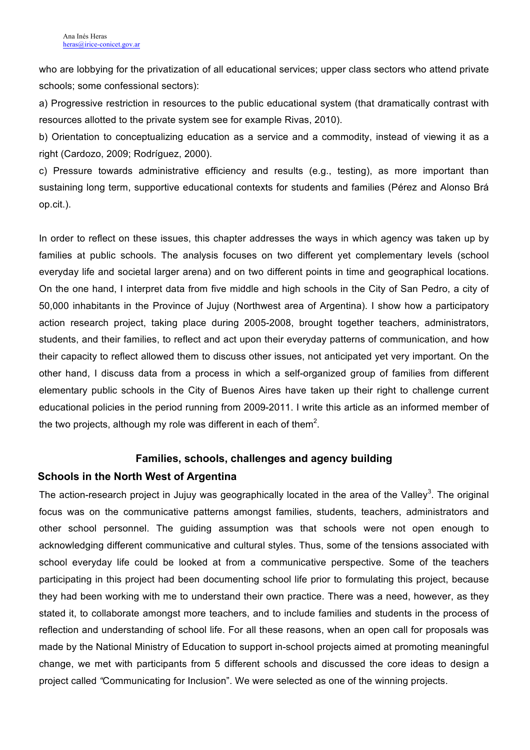who are lobbying for the privatization of all educational services; upper class sectors who attend private schools; some confessional sectors):

a) Progressive restriction in resources to the public educational system (that dramatically contrast with resources allotted to the private system see for example Rivas, 2010).

b) Orientation to conceptualizing education as a service and a commodity, instead of viewing it as a right (Cardozo, 2009; Rodríguez, 2000).

c) Pressure towards administrative efficiency and results (e.g., testing), as more important than sustaining long term, supportive educational contexts for students and families (Pérez and Alonso Brá op.cit.).

In order to reflect on these issues, this chapter addresses the ways in which agency was taken up by families at public schools. The analysis focuses on two different yet complementary levels (school everyday life and societal larger arena) and on two different points in time and geographical locations. On the one hand, I interpret data from five middle and high schools in the City of San Pedro, a city of 50,000 inhabitants in the Province of Jujuy (Northwest area of Argentina). I show how a participatory action research project, taking place during 2005-2008, brought together teachers, administrators, students, and their families, to reflect and act upon their everyday patterns of communication, and how their capacity to reflect allowed them to discuss other issues, not anticipated yet very important. On the other hand, I discuss data from a process in which a self-organized group of families from different elementary public schools in the City of Buenos Aires have taken up their right to challenge current educational policies in the period running from 2009-2011. I write this article as an informed member of the two projects, although my role was different in each of them<sup>2</sup>.

#### **Families, schools, challenges and agency building**

#### **Schools in the North West of Argentina**

The action-research project in Jujuy was geographically located in the area of the Valley<sup>3</sup>. The original focus was on the communicative patterns amongst families, students, teachers, administrators and other school personnel. The guiding assumption was that schools were not open enough to acknowledging different communicative and cultural styles. Thus, some of the tensions associated with school everyday life could be looked at from a communicative perspective. Some of the teachers participating in this project had been documenting school life prior to formulating this project, because they had been working with me to understand their own practice. There was a need, however, as they stated it, to collaborate amongst more teachers, and to include families and students in the process of reflection and understanding of school life. For all these reasons, when an open call for proposals was made by the National Ministry of Education to support in-school projects aimed at promoting meaningful change, we met with participants from 5 different schools and discussed the core ideas to design a project called *"*Communicating for Inclusion". We were selected as one of the winning projects.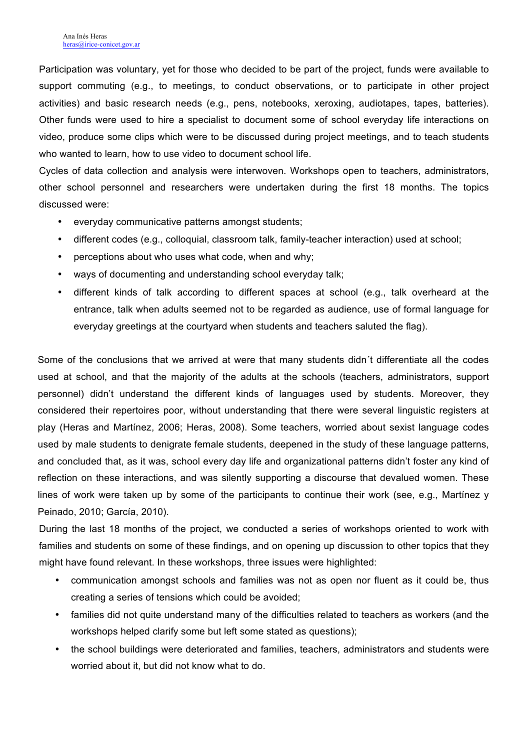Participation was voluntary, yet for those who decided to be part of the project, funds were available to support commuting (e.g., to meetings, to conduct observations, or to participate in other project activities) and basic research needs (e.g., pens, notebooks, xeroxing, audiotapes, tapes, batteries). Other funds were used to hire a specialist to document some of school everyday life interactions on video, produce some clips which were to be discussed during project meetings, and to teach students who wanted to learn, how to use video to document school life.

Cycles of data collection and analysis were interwoven. Workshops open to teachers, administrators, other school personnel and researchers were undertaken during the first 18 months. The topics discussed were:

- everyday communicative patterns amongst students;
- different codes (e.g., colloquial, classroom talk, family-teacher interaction) used at school;
- perceptions about who uses what code, when and why;
- ways of documenting and understanding school everyday talk;
- different kinds of talk according to different spaces at school (e.g., talk overheard at the entrance, talk when adults seemed not to be regarded as audience, use of formal language for everyday greetings at the courtyard when students and teachers saluted the flag).

Some of the conclusions that we arrived at were that many students didn´t differentiate all the codes used at school, and that the majority of the adults at the schools (teachers, administrators, support personnel) didn't understand the different kinds of languages used by students. Moreover, they considered their repertoires poor, without understanding that there were several linguistic registers at play (Heras and Martínez, 2006; Heras, 2008). Some teachers, worried about sexist language codes used by male students to denigrate female students, deepened in the study of these language patterns, and concluded that, as it was, school every day life and organizational patterns didn't foster any kind of reflection on these interactions, and was silently supporting a discourse that devalued women. These lines of work were taken up by some of the participants to continue their work (see, e.g., Martínez y Peinado, 2010; García, 2010).

During the last 18 months of the project, we conducted a series of workshops oriented to work with families and students on some of these findings, and on opening up discussion to other topics that they might have found relevant. In these workshops, three issues were highlighted:

- communication amongst schools and families was not as open nor fluent as it could be, thus creating a series of tensions which could be avoided;
- families did not quite understand many of the difficulties related to teachers as workers (and the workshops helped clarify some but left some stated as questions);
- the school buildings were deteriorated and families, teachers, administrators and students were worried about it, but did not know what to do.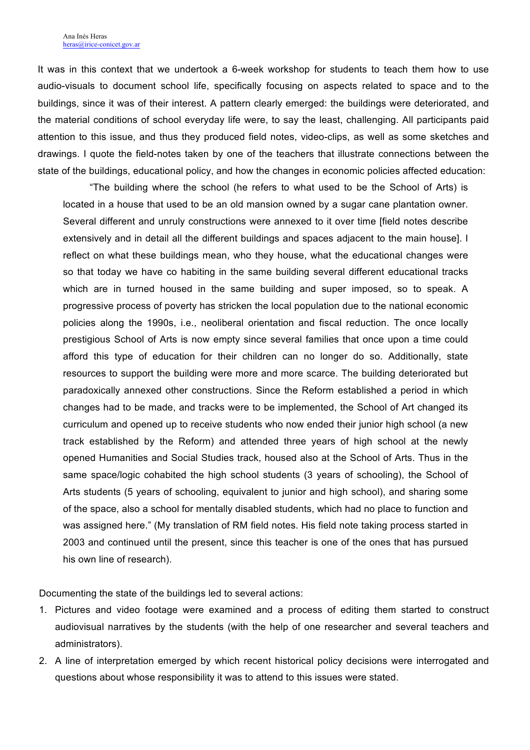It was in this context that we undertook a 6-week workshop for students to teach them how to use audio-visuals to document school life, specifically focusing on aspects related to space and to the buildings, since it was of their interest. A pattern clearly emerged: the buildings were deteriorated, and the material conditions of school everyday life were, to say the least, challenging. All participants paid attention to this issue, and thus they produced field notes, video-clips, as well as some sketches and drawings. I quote the field-notes taken by one of the teachers that illustrate connections between the state of the buildings, educational policy, and how the changes in economic policies affected education:

"The building where the school (he refers to what used to be the School of Arts) is located in a house that used to be an old mansion owned by a sugar cane plantation owner. Several different and unruly constructions were annexed to it over time [field notes describe extensively and in detail all the different buildings and spaces adjacent to the main house]. I reflect on what these buildings mean, who they house, what the educational changes were so that today we have co habiting in the same building several different educational tracks which are in turned housed in the same building and super imposed, so to speak. A progressive process of poverty has stricken the local population due to the national economic policies along the 1990s, i.e., neoliberal orientation and fiscal reduction. The once locally prestigious School of Arts is now empty since several families that once upon a time could afford this type of education for their children can no longer do so. Additionally, state resources to support the building were more and more scarce. The building deteriorated but paradoxically annexed other constructions. Since the Reform established a period in which changes had to be made, and tracks were to be implemented, the School of Art changed its curriculum and opened up to receive students who now ended their junior high school (a new track established by the Reform) and attended three years of high school at the newly opened Humanities and Social Studies track, housed also at the School of Arts. Thus in the same space/logic cohabited the high school students (3 years of schooling), the School of Arts students (5 years of schooling, equivalent to junior and high school), and sharing some of the space, also a school for mentally disabled students, which had no place to function and was assigned here." (My translation of RM field notes. His field note taking process started in 2003 and continued until the present, since this teacher is one of the ones that has pursued his own line of research).

Documenting the state of the buildings led to several actions:

- 1. Pictures and video footage were examined and a process of editing them started to construct audiovisual narratives by the students (with the help of one researcher and several teachers and administrators).
- 2. A line of interpretation emerged by which recent historical policy decisions were interrogated and questions about whose responsibility it was to attend to this issues were stated.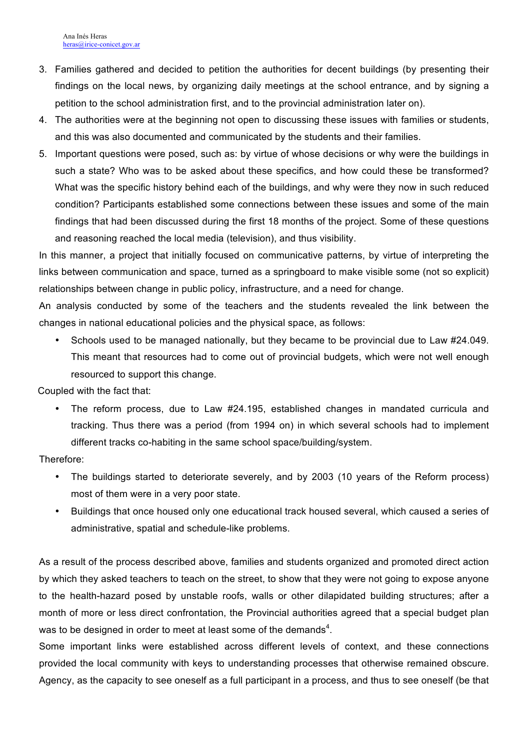- 3. Families gathered and decided to petition the authorities for decent buildings (by presenting their findings on the local news, by organizing daily meetings at the school entrance, and by signing a petition to the school administration first, and to the provincial administration later on).
- 4. The authorities were at the beginning not open to discussing these issues with families or students, and this was also documented and communicated by the students and their families.
- 5. Important questions were posed, such as: by virtue of whose decisions or why were the buildings in such a state? Who was to be asked about these specifics, and how could these be transformed? What was the specific history behind each of the buildings, and why were they now in such reduced condition? Participants established some connections between these issues and some of the main findings that had been discussed during the first 18 months of the project. Some of these questions and reasoning reached the local media (television), and thus visibility.

In this manner, a project that initially focused on communicative patterns, by virtue of interpreting the links between communication and space, turned as a springboard to make visible some (not so explicit) relationships between change in public policy, infrastructure, and a need for change.

An analysis conducted by some of the teachers and the students revealed the link between the changes in national educational policies and the physical space, as follows:

• Schools used to be managed nationally, but they became to be provincial due to Law #24.049. This meant that resources had to come out of provincial budgets, which were not well enough resourced to support this change.

Coupled with the fact that:

• The reform process, due to Law #24.195, established changes in mandated curricula and tracking. Thus there was a period (from 1994 on) in which several schools had to implement different tracks co-habiting in the same school space/building/system.

Therefore:

- The buildings started to deteriorate severely, and by 2003 (10 years of the Reform process) most of them were in a very poor state.
- Buildings that once housed only one educational track housed several, which caused a series of administrative, spatial and schedule-like problems.

As a result of the process described above, families and students organized and promoted direct action by which they asked teachers to teach on the street, to show that they were not going to expose anyone to the health-hazard posed by unstable roofs, walls or other dilapidated building structures; after a month of more or less direct confrontation, the Provincial authorities agreed that a special budget plan was to be designed in order to meet at least some of the demands<sup>4</sup>.

Some important links were established across different levels of context, and these connections provided the local community with keys to understanding processes that otherwise remained obscure. Agency, as the capacity to see oneself as a full participant in a process, and thus to see oneself (be that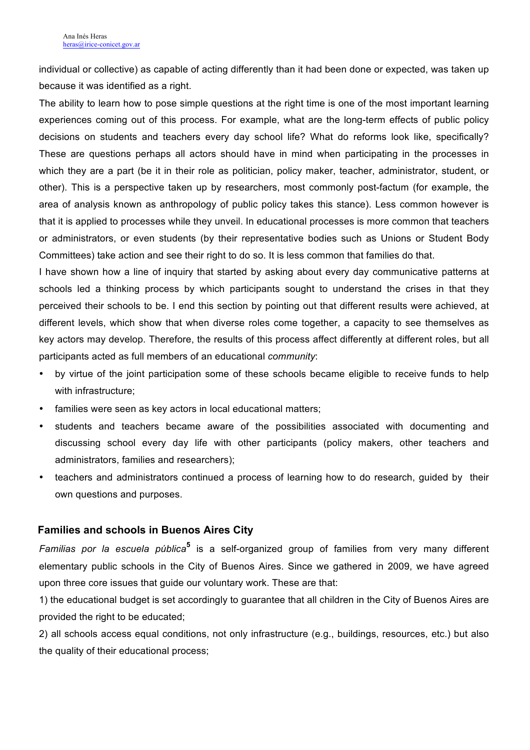individual or collective) as capable of acting differently than it had been done or expected, was taken up because it was identified as a right.

The ability to learn how to pose simple questions at the right time is one of the most important learning experiences coming out of this process. For example, what are the long-term effects of public policy decisions on students and teachers every day school life? What do reforms look like, specifically? These are questions perhaps all actors should have in mind when participating in the processes in which they are a part (be it in their role as politician, policy maker, teacher, administrator, student, or other). This is a perspective taken up by researchers, most commonly post-factum (for example, the area of analysis known as anthropology of public policy takes this stance). Less common however is that it is applied to processes while they unveil. In educational processes is more common that teachers or administrators, or even students (by their representative bodies such as Unions or Student Body Committees) take action and see their right to do so. It is less common that families do that.

I have shown how a line of inquiry that started by asking about every day communicative patterns at schools led a thinking process by which participants sought to understand the crises in that they perceived their schools to be. I end this section by pointing out that different results were achieved, at different levels, which show that when diverse roles come together, a capacity to see themselves as key actors may develop. Therefore, the results of this process affect differently at different roles, but all participants acted as full members of an educational *community*:

- by virtue of the joint participation some of these schools became eligible to receive funds to help with infrastructure;
- families were seen as key actors in local educational matters;
- students and teachers became aware of the possibilities associated with documenting and discussing school every day life with other participants (policy makers, other teachers and administrators, families and researchers);
- teachers and administrators continued a process of learning how to do research, guided by their own questions and purposes.

#### **Families and schools in Buenos Aires City**

*Familias por la escuela pública***<sup>5</sup>** is a self-organized group of families from very many different elementary public schools in the City of Buenos Aires. Since we gathered in 2009, we have agreed upon three core issues that guide our voluntary work. These are that:

1) the educational budget is set accordingly to guarantee that all children in the City of Buenos Aires are provided the right to be educated;

2) all schools access equal conditions, not only infrastructure (e.g., buildings, resources, etc.) but also the quality of their educational process;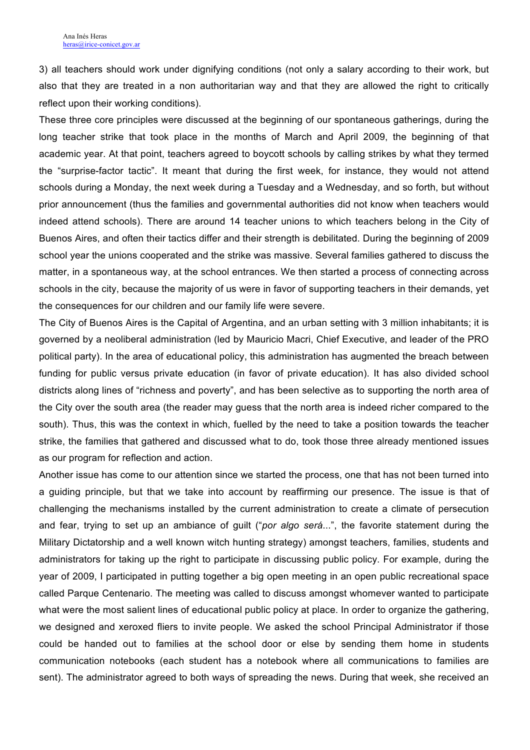3) all teachers should work under dignifying conditions (not only a salary according to their work, but also that they are treated in a non authoritarian way and that they are allowed the right to critically reflect upon their working conditions).

These three core principles were discussed at the beginning of our spontaneous gatherings, during the long teacher strike that took place in the months of March and April 2009, the beginning of that academic year. At that point, teachers agreed to boycott schools by calling strikes by what they termed the "surprise-factor tactic". It meant that during the first week, for instance, they would not attend schools during a Monday, the next week during a Tuesday and a Wednesday, and so forth, but without prior announcement (thus the families and governmental authorities did not know when teachers would indeed attend schools). There are around 14 teacher unions to which teachers belong in the City of Buenos Aires, and often their tactics differ and their strength is debilitated. During the beginning of 2009 school year the unions cooperated and the strike was massive. Several families gathered to discuss the matter, in a spontaneous way, at the school entrances. We then started a process of connecting across schools in the city, because the majority of us were in favor of supporting teachers in their demands, yet the consequences for our children and our family life were severe.

The City of Buenos Aires is the Capital of Argentina, and an urban setting with 3 million inhabitants; it is governed by a neoliberal administration (led by Mauricio Macri, Chief Executive, and leader of the PRO political party). In the area of educational policy, this administration has augmented the breach between funding for public versus private education (in favor of private education). It has also divided school districts along lines of "richness and poverty", and has been selective as to supporting the north area of the City over the south area (the reader may guess that the north area is indeed richer compared to the south). Thus, this was the context in which, fuelled by the need to take a position towards the teacher strike, the families that gathered and discussed what to do, took those three already mentioned issues as our program for reflection and action.

Another issue has come to our attention since we started the process, one that has not been turned into a guiding principle, but that we take into account by reaffirming our presence. The issue is that of challenging the mechanisms installed by the current administration to create a climate of persecution and fear, trying to set up an ambiance of guilt ("*por algo será*...", the favorite statement during the Military Dictatorship and a well known witch hunting strategy) amongst teachers, families, students and administrators for taking up the right to participate in discussing public policy. For example, during the year of 2009, I participated in putting together a big open meeting in an open public recreational space called Parque Centenario. The meeting was called to discuss amongst whomever wanted to participate what were the most salient lines of educational public policy at place. In order to organize the gathering, we designed and xeroxed fliers to invite people. We asked the school Principal Administrator if those could be handed out to families at the school door or else by sending them home in students communication notebooks (each student has a notebook where all communications to families are sent). The administrator agreed to both ways of spreading the news. During that week, she received an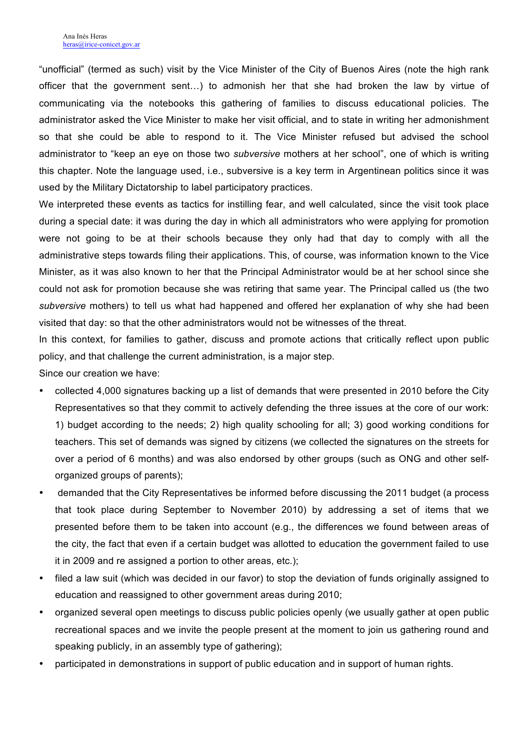"unofficial" (termed as such) visit by the Vice Minister of the City of Buenos Aires (note the high rank officer that the government sent…) to admonish her that she had broken the law by virtue of communicating via the notebooks this gathering of families to discuss educational policies. The administrator asked the Vice Minister to make her visit official, and to state in writing her admonishment so that she could be able to respond to it. The Vice Minister refused but advised the school administrator to "keep an eye on those two *subversive* mothers at her school", one of which is writing this chapter. Note the language used, i.e., subversive is a key term in Argentinean politics since it was used by the Military Dictatorship to label participatory practices.

We interpreted these events as tactics for instilling fear, and well calculated, since the visit took place during a special date: it was during the day in which all administrators who were applying for promotion were not going to be at their schools because they only had that day to comply with all the administrative steps towards filing their applications. This, of course, was information known to the Vice Minister, as it was also known to her that the Principal Administrator would be at her school since she could not ask for promotion because she was retiring that same year. The Principal called us (the two *subversive* mothers) to tell us what had happened and offered her explanation of why she had been visited that day: so that the other administrators would not be witnesses of the threat.

In this context, for families to gather, discuss and promote actions that critically reflect upon public policy, and that challenge the current administration, is a major step.

Since our creation we have:

- collected 4,000 signatures backing up a list of demands that were presented in 2010 before the City Representatives so that they commit to actively defending the three issues at the core of our work: 1) budget according to the needs; 2) high quality schooling for all; 3) good working conditions for teachers. This set of demands was signed by citizens (we collected the signatures on the streets for over a period of 6 months) and was also endorsed by other groups (such as ONG and other selforganized groups of parents);
- demanded that the City Representatives be informed before discussing the 2011 budget (a process that took place during September to November 2010) by addressing a set of items that we presented before them to be taken into account (e.g., the differences we found between areas of the city, the fact that even if a certain budget was allotted to education the government failed to use it in 2009 and re assigned a portion to other areas, etc.);
- filed a law suit (which was decided in our favor) to stop the deviation of funds originally assigned to education and reassigned to other government areas during 2010;
- organized several open meetings to discuss public policies openly (we usually gather at open public recreational spaces and we invite the people present at the moment to join us gathering round and speaking publicly, in an assembly type of gathering);
- participated in demonstrations in support of public education and in support of human rights.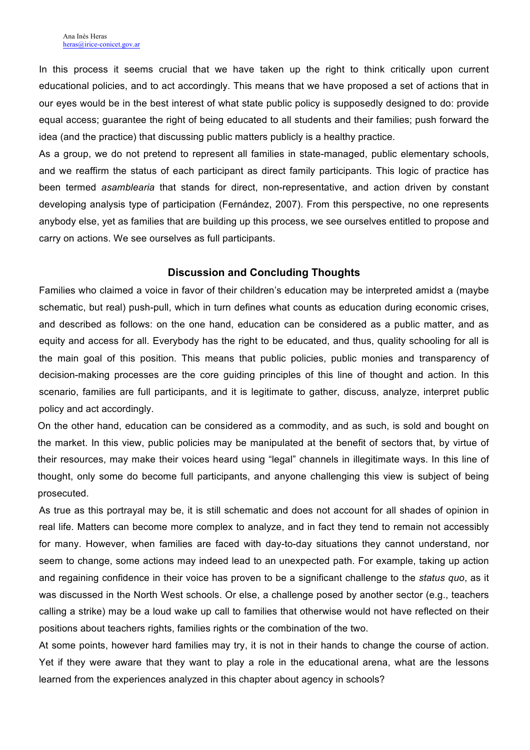In this process it seems crucial that we have taken up the right to think critically upon current educational policies, and to act accordingly. This means that we have proposed a set of actions that in our eyes would be in the best interest of what state public policy is supposedly designed to do: provide equal access; guarantee the right of being educated to all students and their families; push forward the idea (and the practice) that discussing public matters publicly is a healthy practice.

As a group, we do not pretend to represent all families in state-managed, public elementary schools, and we reaffirm the status of each participant as direct family participants. This logic of practice has been termed *asamblearia* that stands for direct, non-representative, and action driven by constant developing analysis type of participation (Fernández, 2007). From this perspective, no one represents anybody else, yet as families that are building up this process, we see ourselves entitled to propose and carry on actions. We see ourselves as full participants.

#### **Discussion and Concluding Thoughts**

Families who claimed a voice in favor of their children's education may be interpreted amidst a (maybe schematic, but real) push-pull, which in turn defines what counts as education during economic crises, and described as follows: on the one hand, education can be considered as a public matter, and as equity and access for all. Everybody has the right to be educated, and thus, quality schooling for all is the main goal of this position. This means that public policies, public monies and transparency of decision-making processes are the core guiding principles of this line of thought and action. In this scenario, families are full participants, and it is legitimate to gather, discuss, analyze, interpret public policy and act accordingly.

On the other hand, education can be considered as a commodity, and as such, is sold and bought on the market. In this view, public policies may be manipulated at the benefit of sectors that, by virtue of their resources, may make their voices heard using "legal" channels in illegitimate ways. In this line of thought, only some do become full participants, and anyone challenging this view is subject of being prosecuted.

As true as this portrayal may be, it is still schematic and does not account for all shades of opinion in real life. Matters can become more complex to analyze, and in fact they tend to remain not accessibly for many. However, when families are faced with day-to-day situations they cannot understand, nor seem to change, some actions may indeed lead to an unexpected path. For example, taking up action and regaining confidence in their voice has proven to be a significant challenge to the *status quo*, as it was discussed in the North West schools. Or else, a challenge posed by another sector (e.g., teachers calling a strike) may be a loud wake up call to families that otherwise would not have reflected on their positions about teachers rights, families rights or the combination of the two.

At some points, however hard families may try, it is not in their hands to change the course of action. Yet if they were aware that they want to play a role in the educational arena, what are the lessons learned from the experiences analyzed in this chapter about agency in schools?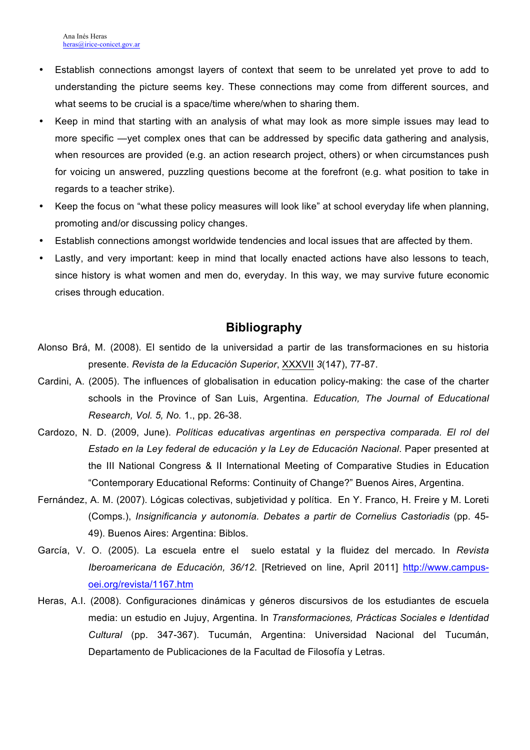- Establish connections amongst layers of context that seem to be unrelated yet prove to add to understanding the picture seems key. These connections may come from different sources, and what seems to be crucial is a space/time where/when to sharing them.
- Keep in mind that starting with an analysis of what may look as more simple issues may lead to more specific —yet complex ones that can be addressed by specific data gathering and analysis, when resources are provided (e.g. an action research project, others) or when circumstances push for voicing un answered, puzzling questions become at the forefront (e.g. what position to take in regards to a teacher strike).
- Keep the focus on "what these policy measures will look like" at school everyday life when planning, promoting and/or discussing policy changes.
- Establish connections amongst worldwide tendencies and local issues that are affected by them.
- Lastly, and very important: keep in mind that locally enacted actions have also lessons to teach, since history is what women and men do, everyday. In this way, we may survive future economic crises through education.

## **Bibliography**

- Alonso Brá, M. (2008). El sentido de la universidad a partir de las transformaciones en su historia presente. *Revista de la Educación Superior*, XXXVII *3*(147), 77-87.
- Cardini, A. (2005). The influences of globalisation in education policy-making: the case of the charter schools in the Province of San Luis, Argentina. *Education, The Journal of Educational Research, Vol. 5, No.* 1., pp. 26-38.
- Cardozo, N. D. (2009, June). *Políticas educativas argentinas en perspectiva comparada. El rol del Estado en la Ley federal de educación y la Ley de Educación Nacional*. Paper presented at the III National Congress & II International Meeting of Comparative Studies in Education "Contemporary Educational Reforms: Continuity of Change?" Buenos Aires, Argentina.
- Fernández, A. M. (2007). Lógicas colectivas, subjetividad y política. En Y. Franco, H. Freire y M. Loreti (Comps.), *Insignificancia y autonomía. Debates a partir de Cornelius Castoriadis* (pp. 45- 49). Buenos Aires: Argentina: Biblos.
- García, V. O. (2005). La escuela entre el suelo estatal y la fluidez del mercado*.* In *Revista Iberoamericana de Educación, 36/12*. [Retrieved on line, April 2011] http://www.campusoei.org/revista/1167.htm
- Heras, A.I. (2008). Configuraciones dinámicas y géneros discursivos de los estudiantes de escuela media: un estudio en Jujuy, Argentina. In *Transformaciones, Prácticas Sociales e Identidad Cultural* (pp. 347-367). Tucumán, Argentina: Universidad Nacional del Tucumán, Departamento de Publicaciones de la Facultad de Filosofía y Letras.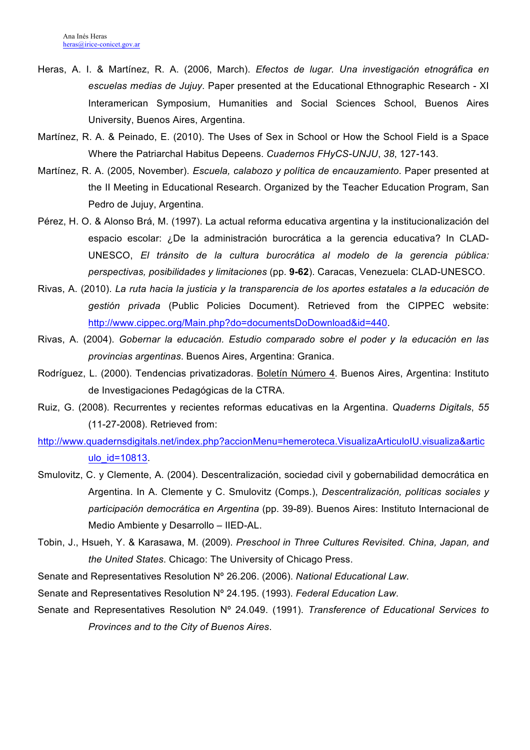- Heras, A. I. & Martínez, R. A. (2006, March). *Efectos de lugar. Una investigación etnográfica en escuelas medias de Jujuy*. Paper presented at the Educational Ethnographic Research - XI Interamerican Symposium, Humanities and Social Sciences School, Buenos Aires University, Buenos Aires, Argentina.
- Martínez, R. A. & Peinado, E. (2010). The Uses of Sex in School or How the School Field is a Space Where the Patriarchal Habitus Depeens. *Cuadernos FHyCS-UNJU*, *38*, 127-143.
- Martínez, R. A. (2005, November). *Escuela, calabozo y política de encauzamiento*. Paper presented at the II Meeting in Educational Research. Organized by the Teacher Education Program, San Pedro de Jujuy, Argentina.
- Pérez, H. O. & Alonso Brá, M. (1997). La actual reforma educativa argentina y la institucionalización del espacio escolar: ¿De la administración burocrática a la gerencia educativa? In CLAD-UNESCO, *El tránsito de la cultura burocrática al modelo de la gerencia pública: perspectivas, posibilidades y limitaciones* (pp. **9-62**). Caracas, Venezuela: CLAD-UNESCO.
- Rivas, A. (2010). *La ruta hacia la justicia y la transparencia de los aportes estatales a la educación de gestión privada* (Public Policies Document). Retrieved from the CIPPEC website: http://www.cippec.org/Main.php?do=documentsDoDownload&id=440.
- Rivas, A. (2004). *Gobernar la educación. Estudio comparado sobre el poder y la educación en las provincias argentinas*. Buenos Aires, Argentina: Granica.
- Rodríguez, L. (2000). Tendencias privatizadoras. Boletín Número 4. Buenos Aires, Argentina: Instituto de Investigaciones Pedagógicas de la CTRA.
- Ruiz, G. (2008). Recurrentes y recientes reformas educativas en la Argentina. *Quaderns Digitals*, *55* (11-27-2008). Retrieved from:
- http://www.quadernsdigitals.net/index.php?accionMenu=hemeroteca.VisualizaArticuloIU.visualiza&artic ulo\_id=10813.
- Smulovitz, C. y Clemente, A. (2004). Descentralización, sociedad civil y gobernabilidad democrática en Argentina. In A. Clemente y C. Smulovitz (Comps.), *Descentralización, políticas sociales y participación democrática en Argentina* (pp. 39-89). Buenos Aires: Instituto Internacional de Medio Ambiente y Desarrollo – IIED-AL.
- Tobin, J., Hsueh, Y. & Karasawa, M. (2009). *Preschool in Three Cultures Revisited. China, Japan, and the United States*. Chicago: The University of Chicago Press.
- Senate and Representatives Resolution Nº 26.206. (2006). *National Educational Law*.
- Senate and Representatives Resolution Nº 24.195. (1993). *Federal Education Law*.
- Senate and Representatives Resolution Nº 24.049. (1991). *Transference of Educational Services to Provinces and to the City of Buenos Aires*.